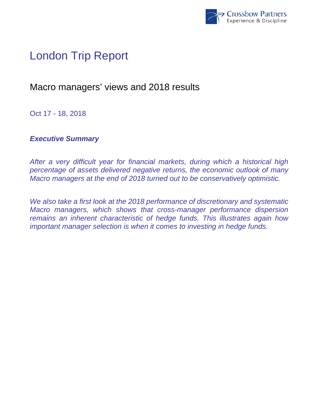

# London Trip Report

# Macro managers' views and 2018 results

Oct 17 - 18, 2018

## *Executive Summary*

*After a very difficult year for financial markets, during which a historical high percentage of assets delivered negative returns, the economic outlook of many Macro managers at the end of 2018 turned out to be conservatively optimistic.* 

*We also take a first look at the 2018 performance of discretionary and systematic Macro managers, which shows that cross-manager performance dispersion remains an inherent characteristic of hedge funds. This illustrates again how important manager selection is when it comes to investing in hedge funds.*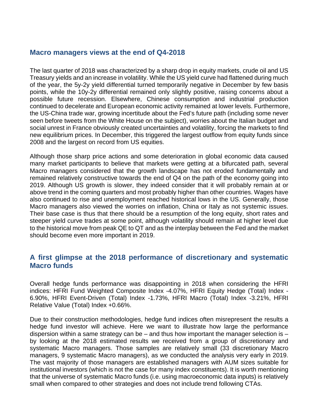#### **Macro managers views at the end of Q4-2018**

The last quarter of 2018 was characterized by a sharp drop in equity markets, crude oil and US Treasury yields and an increase in volatility. While the US yield curve had flattened during much of the year, the 5y-2y yield differential turned temporarily negative in December by few basis points, while the 10y-2y differential remained only slightly positive, raising concerns about a possible future recession. Elsewhere, Chinese consumption and industrial production continued to decelerate and European economic activity remained at lower levels. Furthermore, the US-China trade war, growing incertitude about the Fed's future path (including some never seen before tweets from the White House on the subject), worries about the Italian budget and social unrest in France obviously created uncertainties and volatility, forcing the markets to find new equilibrium prices. In December, this triggered the largest outflow from equity funds since 2008 and the largest on record from US equities.

Although those sharp price actions and some deterioration in global economic data caused many market participants to believe that markets were getting at a bifurcated path, several Macro managers considered that the growth landscape has not eroded fundamentally and remained relatively constructive towards the end of Q4 on the path of the economy going into 2019. Although US growth is slower, they indeed consider that it will probably remain at or above trend in the coming quarters and most probably higher than other countries. Wages have also continued to rise and unemployment reached historical lows in the US. Generally, those Macro managers also viewed the worries on inflation, China or Italy as not systemic issues. Their base case is thus that there should be a resumption of the long equity, short rates and steeper yield curve trades at some point, although volatility should remain at higher level due to the historical move from peak QE to QT and as the interplay between the Fed and the market should become even more important in 2019.

### **A first glimpse at the 2018 performance of discretionary and systematic Macro funds**

Overall hedge funds performance was disappointing in 2018 when considering the HFRI indices: HFRI Fund Weighted Composite Index -4.07%, HFRI Equity Hedge (Total) Index - 6.90%, HFRI Event-Driven (Total) Index -1.73%, HFRI Macro (Total) Index -3.21%, HFRI Relative Value (Total) Index +0.66%.

Due to their construction methodologies, hedge fund indices often misrepresent the results a hedge fund investor will achieve. Here we want to illustrate how large the performance dispersion within a same strategy can be – and thus how important the manager selection is – by looking at the 2018 estimated results we received from a group of discretionary and systematic Macro managers. Those samples are relatively small (33 discretionary Macro managers, 9 systematic Macro managers), as we conducted the analysis very early in 2019. The vast majority of those managers are established managers with AUM sizes suitable for institutional investors (which is not the case for many index constituents). It is worth mentioning that the universe of systematic Macro funds (i.e. using macroeconomic data inputs) is relatively small when compared to other strategies and does not include trend following CTAs.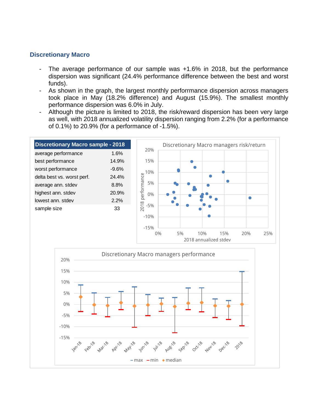#### **Discretionary Macro**

- The average performance of our sample was +1.6% in 2018, but the performance dispersion was significant (24.4% performance difference between the best and worst funds).
- As shown in the graph, the largest monthly perforrmance dispersion across managers took place in May (18.2% difference) and August (15.9%). The smallest monthly performance dispersion was 6.0% in July.
- Although the picture is limited to 2018, the risk/reward dispersion has been very large as well, with 2018 annualized volatility dispersion ranging from 2.2% (for a performance of 0.1%) to 20.9% (for a performance of -1.5%).